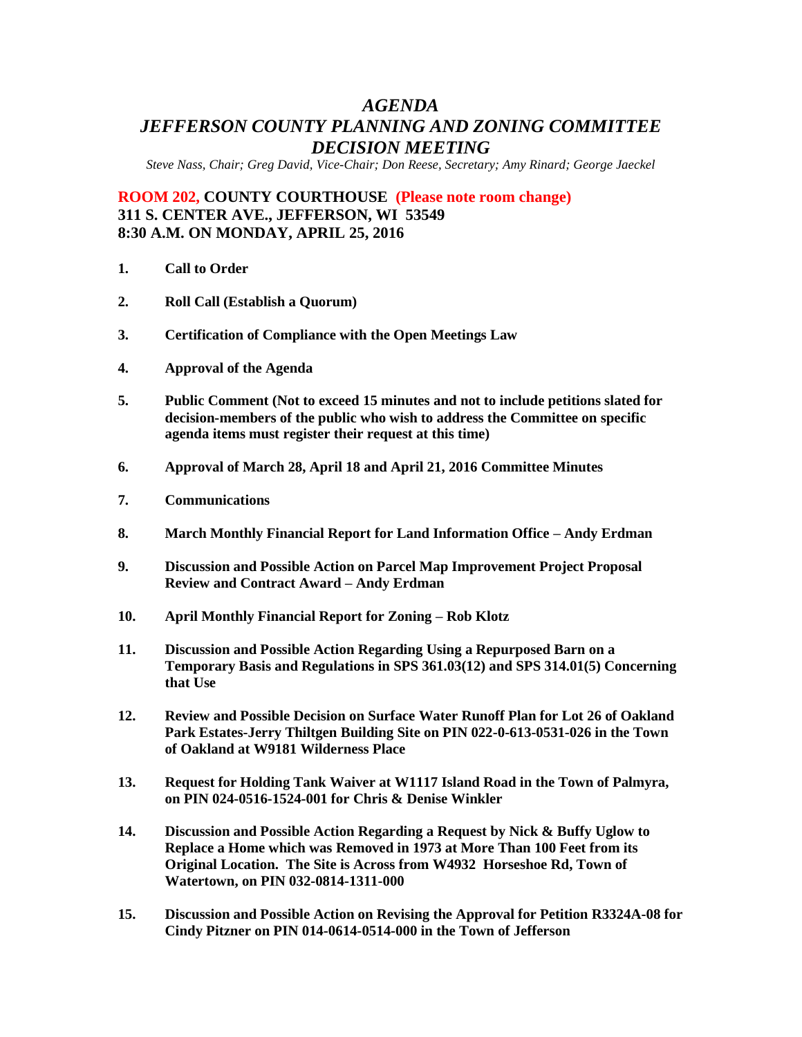# *AGENDA JEFFERSON COUNTY PLANNING AND ZONING COMMITTEE DECISION MEETING*

*Steve Nass, Chair; Greg David, Vice-Chair; Don Reese, Secretary; Amy Rinard; George Jaeckel*

**ROOM 202, COUNTY COURTHOUSE (Please note room change) 311 S. CENTER AVE., JEFFERSON, WI 53549 8:30 A.M. ON MONDAY, APRIL 25, 2016**

- **1. Call to Order**
- **2. Roll Call (Establish a Quorum)**
- **3. Certification of Compliance with the Open Meetings Law**
- **4. Approval of the Agenda**
- **5. Public Comment (Not to exceed 15 minutes and not to include petitions slated for decision-members of the public who wish to address the Committee on specific agenda items must register their request at this time)**
- **6. Approval of March 28, April 18 and April 21, 2016 Committee Minutes**
- **7. Communications**
- **8. March Monthly Financial Report for Land Information Office – Andy Erdman**
- **9. Discussion and Possible Action on Parcel Map Improvement Project Proposal Review and Contract Award – Andy Erdman**
- **10. April Monthly Financial Report for Zoning – Rob Klotz**
- **11. Discussion and Possible Action Regarding Using a Repurposed Barn on a Temporary Basis and Regulations in SPS 361.03(12) and SPS 314.01(5) Concerning that Use**
- **12. Review and Possible Decision on Surface Water Runoff Plan for Lot 26 of Oakland Park Estates-Jerry Thiltgen Building Site on PIN 022-0-613-0531-026 in the Town of Oakland at W9181 Wilderness Place**
- **13. Request for Holding Tank Waiver at W1117 Island Road in the Town of Palmyra, on PIN 024-0516-1524-001 for Chris & Denise Winkler**
- **14. Discussion and Possible Action Regarding a Request by Nick & Buffy Uglow to Replace a Home which was Removed in 1973 at More Than 100 Feet from its Original Location. The Site is Across from W4932 Horseshoe Rd, Town of Watertown, on PIN 032-0814-1311-000**
- **15. Discussion and Possible Action on Revising the Approval for Petition R3324A-08 for Cindy Pitzner on PIN 014-0614-0514-000 in the Town of Jefferson**